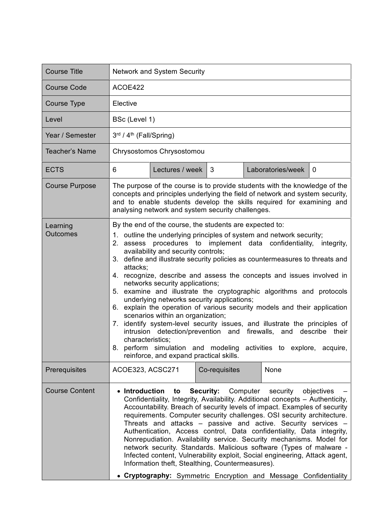| <b>Course Title</b>         | <b>Network and System Security</b>                                                                                                                                                                                                                                                                                                                                                                                                                                                                                                                                                                                                                                                                                                                                                                                                                                                                                                                                                     |  |  |  |
|-----------------------------|----------------------------------------------------------------------------------------------------------------------------------------------------------------------------------------------------------------------------------------------------------------------------------------------------------------------------------------------------------------------------------------------------------------------------------------------------------------------------------------------------------------------------------------------------------------------------------------------------------------------------------------------------------------------------------------------------------------------------------------------------------------------------------------------------------------------------------------------------------------------------------------------------------------------------------------------------------------------------------------|--|--|--|
| <b>Course Code</b>          | ACOE422                                                                                                                                                                                                                                                                                                                                                                                                                                                                                                                                                                                                                                                                                                                                                                                                                                                                                                                                                                                |  |  |  |
| Course Type                 | Elective                                                                                                                                                                                                                                                                                                                                                                                                                                                                                                                                                                                                                                                                                                                                                                                                                                                                                                                                                                               |  |  |  |
| Level                       | BSc (Level 1)                                                                                                                                                                                                                                                                                                                                                                                                                                                                                                                                                                                                                                                                                                                                                                                                                                                                                                                                                                          |  |  |  |
| Year / Semester             | 3rd / 4 <sup>th</sup> (Fall/Spring)                                                                                                                                                                                                                                                                                                                                                                                                                                                                                                                                                                                                                                                                                                                                                                                                                                                                                                                                                    |  |  |  |
| <b>Teacher's Name</b>       | Chrysostomos Chrysostomou                                                                                                                                                                                                                                                                                                                                                                                                                                                                                                                                                                                                                                                                                                                                                                                                                                                                                                                                                              |  |  |  |
| <b>ECTS</b>                 | 3<br>Laboratories/week<br>6<br>Lectures / week<br>$\mathbf 0$                                                                                                                                                                                                                                                                                                                                                                                                                                                                                                                                                                                                                                                                                                                                                                                                                                                                                                                          |  |  |  |
| <b>Course Purpose</b>       | The purpose of the course is to provide students with the knowledge of the<br>concepts and principles underlying the field of network and system security,<br>and to enable students develop the skills required for examining and<br>analysing network and system security challenges.                                                                                                                                                                                                                                                                                                                                                                                                                                                                                                                                                                                                                                                                                                |  |  |  |
| Learning<br><b>Outcomes</b> | By the end of the course, the students are expected to:<br>1. outline the underlying principles of system and network security;<br>2. assess procedures to implement data confidentiality,<br>integrity,<br>availability and security controls;<br>3. define and illustrate security policies as countermeasures to threats and<br>attacks;<br>4. recognize, describe and assess the concepts and issues involved in<br>networks security applications;<br>5. examine and illustrate the cryptographic algorithms and protocols<br>underlying networks security applications;<br>6. explain the operation of various security models and their application<br>scenarios within an organization;<br>7. identify system-level security issues, and illustrate the principles of<br>intrusion detection/prevention and firewalls, and describe their<br>characteristics;<br>8. perform simulation and modeling activities to explore, acquire,<br>reinforce, and expand practical skills. |  |  |  |
| Prerequisites               | Co-requisites<br>ACOE323, ACSC271<br>None                                                                                                                                                                                                                                                                                                                                                                                                                                                                                                                                                                                                                                                                                                                                                                                                                                                                                                                                              |  |  |  |
| <b>Course Content</b>       | • Introduction<br>Security:<br>Computer<br>to<br>security<br>objectives<br>Confidentiality, Integrity, Availability. Additional concepts - Authenticity,<br>Accountability. Breach of security levels of impact. Examples of security<br>requirements. Computer security challenges. OSI security architecture.<br>Threats and attacks - passive and active. Security services -<br>Authentication, Access control, Data confidentiality, Data integrity,<br>Nonrepudiation. Availability service. Security mechanisms. Model for<br>network security. Standards. Malicious software (Types of malware -<br>Infected content, Vulnerability exploit, Social engineering, Attack agent,<br>Information theft, Stealthing, Countermeasures).<br>• Cryptography: Symmetric Encryption and Message Confidentiality                                                                                                                                                                         |  |  |  |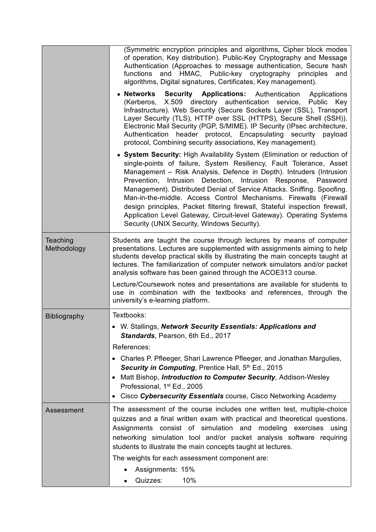|                         | (Symmetric encryption principles and algorithms, Cipher block modes<br>of operation, Key distribution). Public-Key Cryptography and Message<br>Authentication (Approaches to message authentication, Secure hash<br>functions and HMAC, Public-key cryptography principles<br>and<br>algorithms, Digital signatures, Certificates, Key management).                                                                                                                                                                                                                                                                                           |
|-------------------------|-----------------------------------------------------------------------------------------------------------------------------------------------------------------------------------------------------------------------------------------------------------------------------------------------------------------------------------------------------------------------------------------------------------------------------------------------------------------------------------------------------------------------------------------------------------------------------------------------------------------------------------------------|
|                         | • Networks<br><b>Security Applications:</b> Authentication<br>Applications<br>directory authentication service, Public<br>(Kerberos, X.509)<br>Key<br>Infrastructure). Web Security (Secure Sockets Layer (SSL), Transport<br>Layer Security (TLS), HTTP over SSL (HTTPS), Secure Shell (SSH)).<br>Electronic Mail Security (PGP, S/MIME). IP Security (IPsec architecture,<br>Authentication header protocol, Encapsulating security<br>payload<br>protocol, Combining security associations, Key management).                                                                                                                               |
|                         | • System Security: High Availability System (Elimination or reduction of<br>single-points of failure, System Resiliency, Fault Tolerance, Asset<br>Management - Risk Analysis, Defence in Depth). Intruders (Intrusion<br>Prevention, Intrusion Detection, Intrusion Response, Password<br>Management). Distributed Denial of Service Attacks. Sniffing. Spoofing.<br>Man-in-the-middle. Access Control Mechanisms. Firewalls (Firewall<br>design principles, Packet filtering firewall, Stateful inspection firewall,<br>Application Level Gateway, Circuit-level Gateway). Operating Systems<br>Security (UNIX Security, Windows Security). |
| Teaching<br>Methodology | Students are taught the course through lectures by means of computer<br>presentations. Lectures are supplemented with assignments aiming to help<br>students develop practical skills by illustrating the main concepts taught at<br>lectures. The familiarization of computer network simulators and/or packet<br>analysis software has been gained through the ACOE313 course.                                                                                                                                                                                                                                                              |
|                         | Lecture/Coursework notes and presentations are available for students to<br>use in combination with the textbooks and references, through the<br>university's e-learning platform.                                                                                                                                                                                                                                                                                                                                                                                                                                                            |
| <b>Bibliography</b>     | Textbooks:                                                                                                                                                                                                                                                                                                                                                                                                                                                                                                                                                                                                                                    |
|                         | W. Stallings, Network Security Essentials: Applications and<br>Standards, Pearson, 6th Ed., 2017                                                                                                                                                                                                                                                                                                                                                                                                                                                                                                                                              |
|                         | References:<br>• Charles P. Pfleeger, Shari Lawrence Pfleeger, and Jonathan Margulies,                                                                                                                                                                                                                                                                                                                                                                                                                                                                                                                                                        |
|                         | Security in Computing, Prentice Hall, 5th Ed., 2015                                                                                                                                                                                                                                                                                                                                                                                                                                                                                                                                                                                           |
|                         | Matt Bishop, Introduction to Computer Security, Addison-Wesley<br>Professional, 1 <sup>st</sup> Ed., 2005                                                                                                                                                                                                                                                                                                                                                                                                                                                                                                                                     |
|                         | • Cisco Cybersecurity Essentials course, Cisco Networking Academy                                                                                                                                                                                                                                                                                                                                                                                                                                                                                                                                                                             |
| Assessment              | The assessment of the course includes one written test, multiple-choice<br>quizzes and a final written exam with practical and theoretical questions.<br>Assignments consist of simulation and<br>modeling exercises<br>using<br>networking simulation tool and/or packet analysis software requiring<br>students to illustrate the main concepts taught at lectures.                                                                                                                                                                                                                                                                         |
|                         | The weights for each assessment component are:<br>Assignments: 15%                                                                                                                                                                                                                                                                                                                                                                                                                                                                                                                                                                            |
|                         | Quizzes:<br>10%<br>$\bullet$                                                                                                                                                                                                                                                                                                                                                                                                                                                                                                                                                                                                                  |